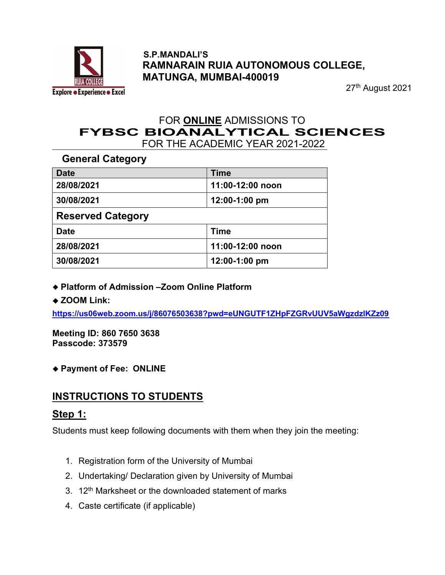

#### S.P.MANDALI'S RAMNARAIN RUIA AUTONOMOUS COLLEGE, MATUNGA, MUMBAI-400019

27th August 2021

# FOR ONLINE ADMISSIONS TO<br>FYBSC BIOANALYTICAL SCIENCES FOR THE ACADEMIC YEAR 2021-2022

General Category

| <b>Date</b>              | <b>Time</b>      |
|--------------------------|------------------|
| 28/08/2021               | 11:00-12:00 noon |
| 30/08/2021               | 12:00-1:00 pm    |
| <b>Reserved Category</b> |                  |
| <b>Date</b>              | <b>Time</b>      |
| 28/08/2021               | 11:00-12:00 noon |
| 30/08/2021               | 12:00-1:00 pm    |

- ◆ Platform of Admission –Zoom Online Platform
- ◆ ZOOM Link:

https://us06web.zoom.us/j/86076503638?pwd=eUNGUTF1ZHpFZGRvUUV5aWgzdzlKZz09

Meeting ID: 860 7650 3638 Passcode: 373579

Payment of Fee: ONLINE

#### INSTRUCTIONS TO STUDENTS

#### Step 1:

Students must keep following documents with them when they join the meeting:

- 1. Registration form of the University of Mumbai
- 2. Undertaking/ Declaration given by University of Mumbai
- 3. 12<sup>th</sup> Marksheet or the downloaded statement of marks
- 4. Caste certificate (if applicable)